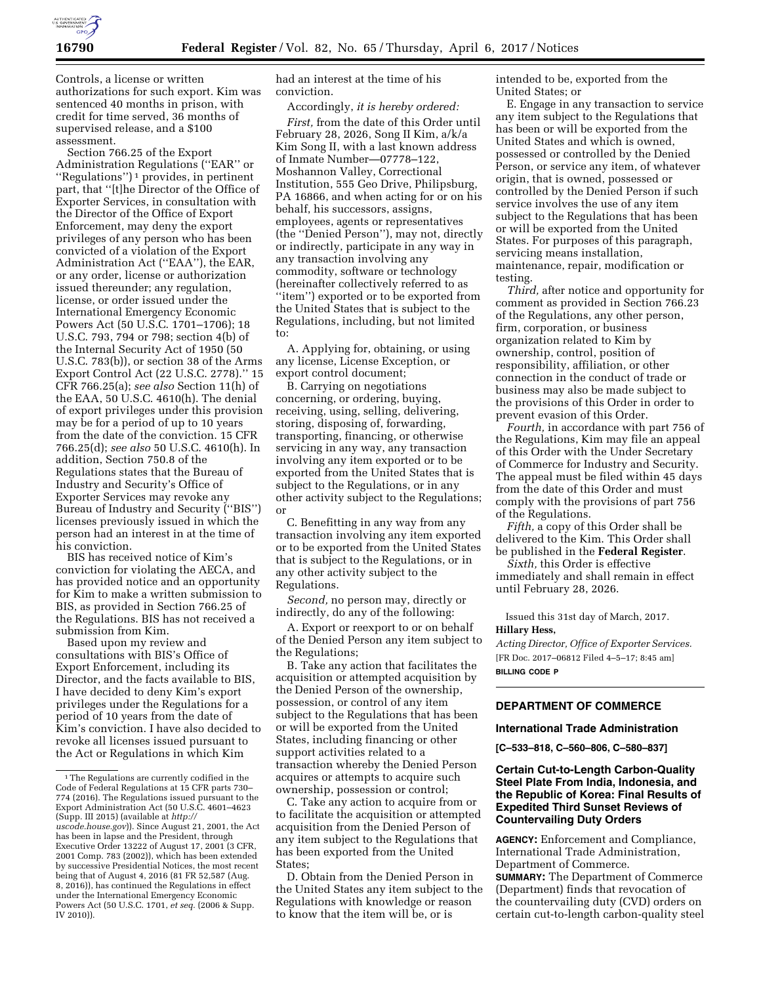

Controls, a license or written authorizations for such export. Kim was sentenced 40 months in prison, with credit for time served, 36 months of supervised release, and a \$100 assessment.

Section 766.25 of the Export Administration Regulations (''EAR'' or ''Regulations'') 1 provides, in pertinent part, that ''[t]he Director of the Office of Exporter Services, in consultation with the Director of the Office of Export Enforcement, may deny the export privileges of any person who has been convicted of a violation of the Export Administration Act (''EAA''), the EAR, or any order, license or authorization issued thereunder; any regulation, license, or order issued under the International Emergency Economic Powers Act (50 U.S.C. 1701–1706); 18 U.S.C. 793, 794 or 798; section 4(b) of the Internal Security Act of 1950 (50 U.S.C. 783(b)), or section 38 of the Arms Export Control Act (22 U.S.C. 2778).'' 15 CFR 766.25(a); *see also* Section 11(h) of the EAA, 50 U.S.C. 4610(h). The denial of export privileges under this provision may be for a period of up to 10 years from the date of the conviction. 15 CFR 766.25(d); *see also* 50 U.S.C. 4610(h). In addition, Section 750.8 of the Regulations states that the Bureau of Industry and Security's Office of Exporter Services may revoke any Bureau of Industry and Security (''BIS'') licenses previously issued in which the person had an interest in at the time of his conviction.

BIS has received notice of Kim's conviction for violating the AECA, and has provided notice and an opportunity for Kim to make a written submission to BIS, as provided in Section 766.25 of the Regulations. BIS has not received a submission from Kim.

Based upon my review and consultations with BIS's Office of Export Enforcement, including its Director, and the facts available to BIS, I have decided to deny Kim's export privileges under the Regulations for a period of 10 years from the date of Kim's conviction. I have also decided to revoke all licenses issued pursuant to the Act or Regulations in which Kim

had an interest at the time of his conviction.

Accordingly, *it is hereby ordered: First,* from the date of this Order until February 28, 2026, Song II Kim, a/k/a Kim Song II, with a last known address of Inmate Number—07778–122, Moshannon Valley, Correctional Institution, 555 Geo Drive, Philipsburg, PA 16866, and when acting for or on his behalf, his successors, assigns, employees, agents or representatives (the ''Denied Person''), may not, directly or indirectly, participate in any way in any transaction involving any commodity, software or technology (hereinafter collectively referred to as ''item'') exported or to be exported from the United States that is subject to the Regulations, including, but not limited to:

A. Applying for, obtaining, or using any license, License Exception, or export control document;

B. Carrying on negotiations concerning, or ordering, buying, receiving, using, selling, delivering, storing, disposing of, forwarding, transporting, financing, or otherwise servicing in any way, any transaction involving any item exported or to be exported from the United States that is subject to the Regulations, or in any other activity subject to the Regulations; or

C. Benefitting in any way from any transaction involving any item exported or to be exported from the United States that is subject to the Regulations, or in any other activity subject to the Regulations.

*Second,* no person may, directly or indirectly, do any of the following:

A. Export or reexport to or on behalf of the Denied Person any item subject to the Regulations;

B. Take any action that facilitates the acquisition or attempted acquisition by the Denied Person of the ownership, possession, or control of any item subject to the Regulations that has been or will be exported from the United States, including financing or other support activities related to a transaction whereby the Denied Person acquires or attempts to acquire such ownership, possession or control;

C. Take any action to acquire from or to facilitate the acquisition or attempted acquisition from the Denied Person of any item subject to the Regulations that has been exported from the United States;

D. Obtain from the Denied Person in the United States any item subject to the Regulations with knowledge or reason to know that the item will be, or is

intended to be, exported from the United States; or

E. Engage in any transaction to service any item subject to the Regulations that has been or will be exported from the United States and which is owned, possessed or controlled by the Denied Person, or service any item, of whatever origin, that is owned, possessed or controlled by the Denied Person if such service involves the use of any item subject to the Regulations that has been or will be exported from the United States. For purposes of this paragraph, servicing means installation, maintenance, repair, modification or testing.

*Third,* after notice and opportunity for comment as provided in Section 766.23 of the Regulations, any other person, firm, corporation, or business organization related to Kim by ownership, control, position of responsibility, affiliation, or other connection in the conduct of trade or business may also be made subject to the provisions of this Order in order to prevent evasion of this Order.

*Fourth,* in accordance with part 756 of the Regulations, Kim may file an appeal of this Order with the Under Secretary of Commerce for Industry and Security. The appeal must be filed within 45 days from the date of this Order and must comply with the provisions of part 756 of the Regulations.

*Fifth,* a copy of this Order shall be delivered to the Kim. This Order shall be published in the **Federal Register**.

*Sixth,* this Order is effective immediately and shall remain in effect until February 28, 2026.

Issued this 31st day of March, 2017.

#### **Hillary Hess,**

*Acting Director, Office of Exporter Services.*  [FR Doc. 2017–06812 Filed 4–5–17; 8:45 am] **BILLING CODE P** 

## **DEPARTMENT OF COMMERCE**

#### **International Trade Administration**

**[C–533–818, C–560–806, C–580–837]** 

## **Certain Cut-to-Length Carbon-Quality Steel Plate From India, Indonesia, and the Republic of Korea: Final Results of Expedited Third Sunset Reviews of Countervailing Duty Orders**

**AGENCY:** Enforcement and Compliance, International Trade Administration, Department of Commerce. **SUMMARY:** The Department of Commerce (Department) finds that revocation of the countervailing duty (CVD) orders on certain cut-to-length carbon-quality steel

<sup>1</sup>The Regulations are currently codified in the Code of Federal Regulations at 15 CFR parts 730– 774 (2016). The Regulations issued pursuant to the Export Administration Act (50 U.S.C. 4601–4623 (Supp. III 2015) (available at *[http://](http://uscode.house.gov) [uscode.house.gov](http://uscode.house.gov)*)). Since August 21, 2001, the Act has been in lapse and the President, through Executive Order 13222 of August 17, 2001 (3 CFR, 2001 Comp. 783 (2002)), which has been extended by successive Presidential Notices, the most recent being that of August 4, 2016 (81 FR 52,587 (Aug. 8, 2016)), has continued the Regulations in effect under the International Emergency Economic Powers Act (50 U.S.C. 1701, *et seq.* (2006 & Supp. IV 2010)).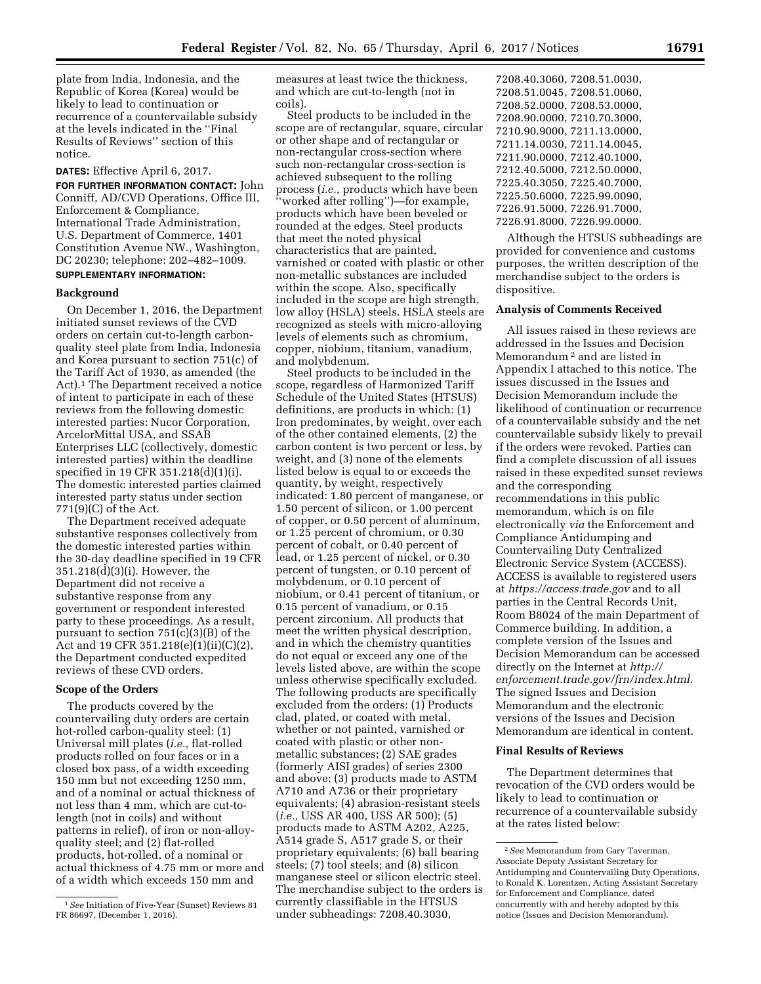plate from India, Indonesia, and the Republic of Korea (Korea) would be likely to lead to continuation or recurrence of a countervailable subsidy at the levels indicated in the ''Final Results of Reviews'' section of this notice.

## **DATES:** Effective April 6, 2017.

**FOR FURTHER INFORMATION CONTACT:** John Conniff, AD/CVD Operations, Office III, Enforcement & Compliance, International Trade Administration, U.S. Department of Commerce, 1401 Constitution Avenue NW., Washington, DC 20230; telephone: 202–482–1009.

## **SUPPLEMENTARY INFORMATION:**

#### **Background**

On December 1, 2016, the Department initiated sunset reviews of the CVD orders on certain cut-to-length carbonquality steel plate from India, Indonesia and Korea pursuant to section 751(c) of the Tariff Act of 1930, as amended (the Act).1 The Department received a notice of intent to participate in each of these reviews from the following domestic interested parties: Nucor Corporation, ArcelorMittal USA, and SSAB Enterprises LLC (collectively, domestic interested parties) within the deadline specified in 19 CFR 351.218(d)(1)(i). The domestic interested parties claimed interested party status under section 771(9)(C) of the Act.

The Department received adequate substantive responses collectively from the domestic interested parties within the 30-day deadline specified in 19 CFR 351.218(d)(3)(i). However, the Department did not receive a substantive response from any government or respondent interested party to these proceedings. As a result, pursuant to section 751(c)(3)(B) of the Act and 19 CFR 351.218(e)(1)(ii)(C)(2), the Department conducted expedited reviews of these CVD orders.

## **Scope of the Orders**

The products covered by the countervailing duty orders are certain hot-rolled carbon-quality steel: (1) Universal mill plates (*i.e.,* flat-rolled products rolled on four faces or in a closed box pass, of a width exceeding 150 mm but not exceeding 1250 mm, and of a nominal or actual thickness of not less than 4 mm, which are cut-tolength (not in coils) and without patterns in relief), of iron or non-alloyquality steel; and (2) flat-rolled products, hot-rolled, of a nominal or actual thickness of 4.75 mm or more and of a width which exceeds 150 mm and

measures at least twice the thickness, and which are cut-to-length (not in coils).

Steel products to be included in the scope are of rectangular, square, circular or other shape and of rectangular or non-rectangular cross-section where such non-rectangular cross-section is achieved subsequent to the rolling process (*i.e.,* products which have been ''worked after rolling'')—for example, products which have been beveled or rounded at the edges. Steel products that meet the noted physical characteristics that are painted, varnished or coated with plastic or other non-metallic substances are included within the scope. Also, specifically included in the scope are high strength, low alloy (HSLA) steels. HSLA steels are recognized as steels with micro-alloying levels of elements such as chromium, copper, niobium, titanium, vanadium, and molybdenum.

Steel products to be included in the scope, regardless of Harmonized Tariff Schedule of the United States (HTSUS) definitions, are products in which: (1) Iron predominates, by weight, over each of the other contained elements, (2) the carbon content is two percent or less, by weight, and (3) none of the elements listed below is equal to or exceeds the quantity, by weight, respectively indicated: 1.80 percent of manganese, or 1.50 percent of silicon, or 1.00 percent of copper, or 0.50 percent of aluminum, or 1.25 percent of chromium, or 0.30 percent of cobalt, or 0.40 percent of lead, or 1.25 percent of nickel, or 0.30 percent of tungsten, or 0.10 percent of molybdenum, or 0.10 percent of niobium, or 0.41 percent of titanium, or 0.15 percent of vanadium, or 0.15 percent zirconium. All products that meet the written physical description, and in which the chemistry quantities do not equal or exceed any one of the levels listed above, are within the scope unless otherwise specifically excluded. The following products are specifically excluded from the orders: (1) Products clad, plated, or coated with metal, whether or not painted, varnished or coated with plastic or other nonmetallic substances; (2) SAE grades (formerly AISI grades) of series 2300 and above; (3) products made to ASTM A710 and A736 or their proprietary equivalents; (4) abrasion-resistant steels (*i.e.,* USS AR 400, USS AR 500); (5) products made to ASTM A202, A225, A514 grade S, A517 grade S, or their proprietary equivalents; (6) ball bearing steels; (7) tool steels; and (8) silicon manganese steel or silicon electric steel. The merchandise subject to the orders is currently classifiable in the HTSUS under subheadings: 7208.40.3030,

```
7208.40.3060, 7208.51.0030, 
7208.51.0045, 7208.51.0060, 
7208.52.0000, 7208.53.0000, 
7208.90.0000, 7210.70.3000, 
7210.90.9000, 7211.13.0000, 
7211.14.0030, 7211.14.0045, 
7211.90.0000, 7212.40.1000, 
7212.40.5000, 7212.50.0000, 
7225.40.3050, 7225.40.7000, 
7225.50.6000, 7225.99.0090, 
7226.91.5000, 7226.91.7000, 
7226.91.8000, 7226.99.0000.
```
Although the HTSUS subheadings are provided for convenience and customs purposes, the written description of the merchandise subject to the orders is dispositive.

#### **Analysis of Comments Received**

All issues raised in these reviews are addressed in the Issues and Decision Memorandum 2 and are listed in Appendix I attached to this notice. The issues discussed in the Issues and Decision Memorandum include the likelihood of continuation or recurrence of a countervailable subsidy and the net countervailable subsidy likely to prevail if the orders were revoked. Parties can find a complete discussion of all issues raised in these expedited sunset reviews and the corresponding recommendations in this public memorandum, which is on file electronically *via* the Enforcement and Compliance Antidumping and Countervailing Duty Centralized Electronic Service System (ACCESS). ACCESS is available to registered users at *<https://access.trade.gov>*and to all parties in the Central Records Unit, Room B8024 of the main Department of Commerce building. In addition, a complete version of the Issues and Decision Memorandum can be accessed directly on the Internet at *[http://](http://enforcement.trade.gov/frn/index.html) [enforcement.trade.gov/frn/index.html.](http://enforcement.trade.gov/frn/index.html)*  The signed Issues and Decision Memorandum and the electronic versions of the Issues and Decision Memorandum are identical in content.

#### **Final Results of Reviews**

The Department determines that revocation of the CVD orders would be likely to lead to continuation or recurrence of a countervailable subsidy at the rates listed below:

<sup>1</sup>*See* Initiation of Five-Year (Sunset) Reviews 81 FR 86697, (December 1, 2016).

<sup>2</sup>*See* Memorandum from Gary Taverman, Associate Deputy Assistant Secretary for Antidumping and Countervailing Duty Operations, to Ronald K. Lorentzen, Acting Assistant Secretary for Enforcement and Compliance, dated concurrently with and hereby adopted by this notice (Issues and Decision Memorandum).